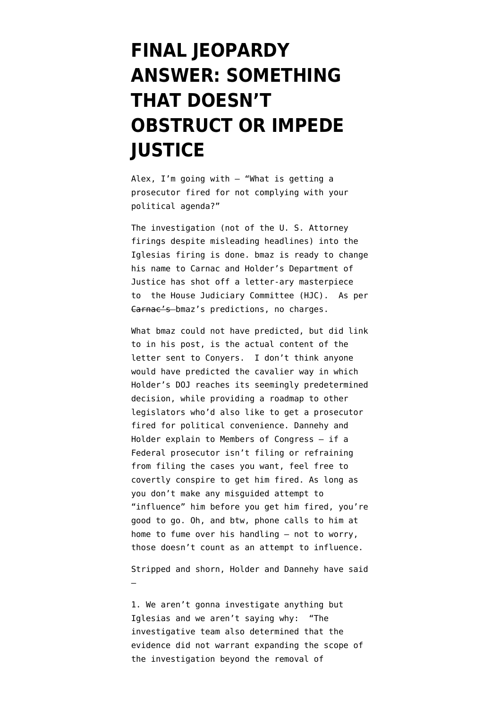## **[FINAL JEOPARDY](https://www.emptywheel.net/2010/07/21/final-jeopardy-answer-something-that-doesnt-obstruct-or-impede-justice/) [ANSWER: SOMETHING](https://www.emptywheel.net/2010/07/21/final-jeopardy-answer-something-that-doesnt-obstruct-or-impede-justice/) [THAT DOESN'T](https://www.emptywheel.net/2010/07/21/final-jeopardy-answer-something-that-doesnt-obstruct-or-impede-justice/) [OBSTRUCT OR IMPEDE](https://www.emptywheel.net/2010/07/21/final-jeopardy-answer-something-that-doesnt-obstruct-or-impede-justice/) [JUSTICE](https://www.emptywheel.net/2010/07/21/final-jeopardy-answer-something-that-doesnt-obstruct-or-impede-justice/)**

Alex, I'm going with – "What is getting a prosecutor fired for not complying with your political agenda?"

The investigation (not of the U. S. Attorney firings despite misleading headlines) into the Iglesias firing is done. [bmaz is ready to change](http://emptywheel.firedoglake.com/2010/07/21/shocking-result-in-us-attorney-purgegate-scandal/) [his name to Carnac](http://emptywheel.firedoglake.com/2010/07/21/shocking-result-in-us-attorney-purgegate-scandal/) and Holder's Department of Justice has shot off a letter-ary masterpiece to the House Judiciary Committee (HJC). As per Carnac's bmaz's predictions, no charges.

What bmaz could not have predicted, but did link to in his post, is the actual content of the letter sent to Conyers. I don't think anyone would have predicted the cavalier way in which Holder's DOJ reaches its seemingly predetermined decision, while providing a roadmap to other legislators who'd also like to get a prosecutor fired for political convenience. Dannehy and Holder explain to Members of Congress – if a Federal prosecutor isn't filing or refraining from filing the cases you want, feel free to covertly conspire to get him fired. As long as you don't make any misguided attempt to "influence" him before you get him fired, you're good to go. Oh, and btw, phone calls to him at home to fume over his handling – not to worry, those doesn't count as an attempt to influence.

Stripped and shorn, Holder and Dannehy have said –

1. We aren't gonna investigate anything but Iglesias and we aren't saying why: "The investigative team also determined that the evidence did not warrant expanding the scope of the investigation beyond the removal of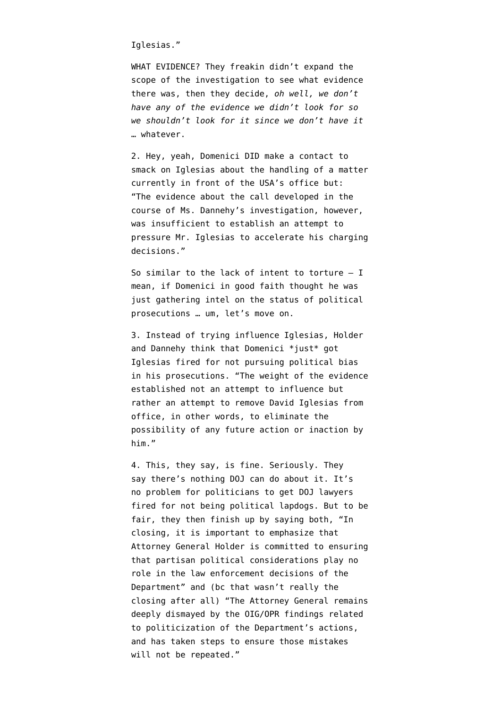Iglesias."

WHAT EVIDENCE? They freakin didn't expand the scope of the investigation to see what evidence there was, then they decide, *oh well, we don't have any of the evidence we didn't look for so we shouldn't look for it since we don't have it* … whatever.

2. Hey, yeah, Domenici DID make a contact to smack on Iglesias about the handling of a matter currently in front of the USA's office but: "The evidence about the call developed in the course of Ms. Dannehy's investigation, however, was insufficient to establish an attempt to pressure Mr. Iglesias to accelerate his charging decisions."

So similar to the lack of intent to torture – I mean, if Domenici in good faith thought he was just gathering intel on the status of political prosecutions … um, let's move on.

3. Instead of trying influence Iglesias, Holder and Dannehy think that Domenici \*just\* got Iglesias fired for not pursuing political bias in his prosecutions. "The weight of the evidence established not an attempt to influence but rather an attempt to remove David Iglesias from office, in other words, to eliminate the possibility of any future action or inaction by him."

4. This, they say, is fine. Seriously. They say there's nothing DOJ can do about it. It's no problem for politicians to get DOJ lawyers fired for not being political lapdogs. But to be fair, they then finish up by saying both, "In closing, it is important to emphasize that Attorney General Holder is committed to ensuring that partisan political considerations play no role in the law enforcement decisions of the Department" and (bc that wasn't really the closing after all) "The Attorney General remains deeply dismayed by the OIG/OPR findings related to politicization of the Department's actions, and has taken steps to ensure those mistakes will not be repeated."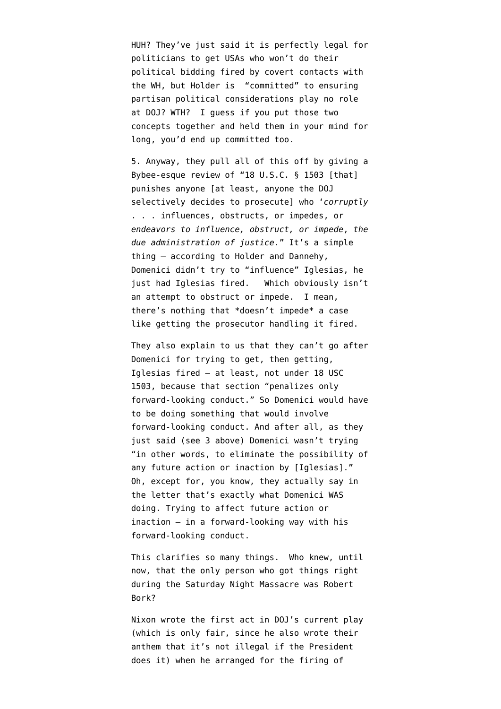HUH? They've just said it is perfectly legal for politicians to get USAs who won't do their political bidding fired by covert contacts with the WH, but Holder is "committed" to ensuring partisan political considerations play no role at DOJ? WTH? I guess if you put those two concepts together and held them in your mind for long, you'd end up committed too.

5. Anyway, they pull all of this off by giving a Bybee-esque review of "[18 U.S.C. § 1503 \[](http://www.law.cornell.edu/uscode/uscode18/usc_sec_18_00001503----000-.html)that] punishes anyone [at least, anyone the DOJ selectively decides to prosecute] who '*corruptly* . . . influences, obstructs, or impedes, or *endeavors to influence, obstruct, or impede*, *the due administration of justice.*" It's a simple thing – according to Holder and Dannehy, Domenici didn't try to "influence" Iglesias, he just had Iglesias fired. Which obviously isn't an attempt to obstruct or impede. I mean, there's nothing that \*doesn't impede\* a case like getting the prosecutor handling it fired.

They also explain to us that they can't go after Domenici for trying to get, then getting, Iglesias fired – at least, not under 18 USC 1503, because that section "penalizes only forward-looking conduct." So Domenici would have to be doing something that would involve forward-looking conduct. And after all, as they just said (see 3 above) Domenici wasn't trying "in other words, to eliminate the possibility of any future action or inaction by [Iglesias]." Oh, except for, you know, they actually say in the letter that's exactly what Domenici WAS doing. Trying to affect future action or inaction – in a forward-looking way with his forward-looking conduct.

This clarifies so many things. Who knew, until now, that the only person who got things right during the [Saturday Night Massacre](http://en.wikipedia.org/wiki/Saturday_Night_Massacre) was Robert Bork?

Nixon wrote the first act in DOJ's current play (which is only fair, since he also wrote their anthem that it's not illegal if the President does it) when he arranged for the firing of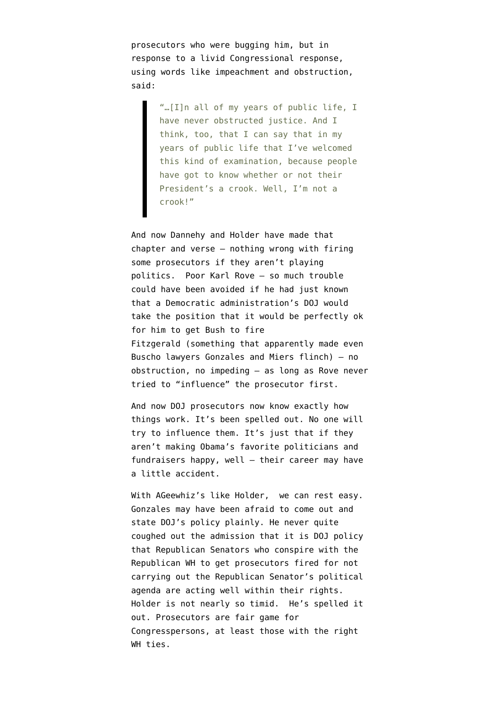prosecutors who were bugging him, but in response to a livid Congressional response, using words like impeachment and obstruction, said:

"…[I]n all of my years of public life, I have never obstructed justice. And I think, too, that I can say that in my years of public life that I've welcomed this kind of examination, because people have got to know whether or not their President's a crook. Well, I'm not a crook!"

And now Dannehy and Holder have made that chapter and verse – nothing wrong with firing some prosecutors if they aren't playing politics. Poor Karl Rove – so much trouble could have been avoided if he had just known that a Democratic administration's DOJ would take the position that it would be perfectly ok for him to get Bush to fire Fitzgerald (something that apparently made even Buscho lawyers Gonzales and Miers flinch) – no obstruction, no impeding – as long as Rove never tried to "influence" the prosecutor first.

And now DOJ prosecutors now know exactly how things work. It's been spelled out. No one will try to influence them. It's just that if they aren't making Obama's favorite politicians and fundraisers happy, well – their career may have a little accident.

With AGeewhiz's like Holder, we can rest easy. Gonzales may have been afraid to come out and state DOJ's policy plainly. He never quite coughed out the admission that it is DOJ policy that Republican Senators who conspire with the Republican WH to get prosecutors fired for not carrying out the Republican Senator's political agenda are acting well within their rights. Holder is not nearly so timid. He's spelled it out. Prosecutors are fair game for Congresspersons, at least those with the right WH ties.